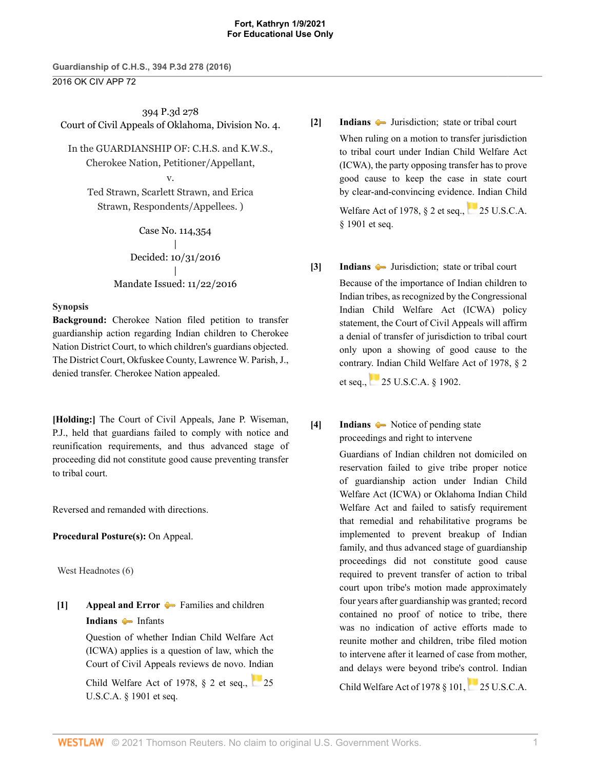**Guardianship of C.H.S., 394 P.3d 278 (2016)** 2016 OK CIV APP 72

394 P.3d 278 Court of Civil Appeals of Oklahoma, Division No. 4.

In the GUARDIANSHIP OF: C.H.S. and K.W.S., Cherokee Nation, Petitioner/Appellant, v.

Ted Strawn, Scarlett Strawn, and Erica Strawn, Respondents/Appellees. )

> Case No. 114,354 | Decided: 10/31/2016 | Mandate Issued: 11/22/2016

## **Synopsis**

**Background:** Cherokee Nation filed petition to transfer guardianship action regarding Indian children to Cherokee Nation District Court, to which children's guardians objected. The District Court, Okfuskee County, [Lawrence W. Parish,](http://www.westlaw.com/Link/Document/FullText?findType=h&pubNum=176284&cite=0134235601&originatingDoc=I287af370b18211e6bdb7b23a3c66d5b3&refType=RQ&originationContext=document&vr=3.0&rs=cblt1.0&transitionType=DocumentItem&contextData=(sc.Search)) J., denied transfer. Cherokee Nation appealed.

**[\[Holding:\]](#page-0-0)** The Court of Civil Appeals, [Jane P. Wiseman](http://www.westlaw.com/Link/Document/FullText?findType=h&pubNum=176284&cite=0141632901&originatingDoc=I287af370b18211e6bdb7b23a3c66d5b3&refType=RQ&originationContext=document&vr=3.0&rs=cblt1.0&transitionType=DocumentItem&contextData=(sc.Search)), P.J., held that guardians failed to comply with notice and reunification requirements, and thus advanced stage of proceeding did not constitute good cause preventing transfer to tribal court.

Reversed and remanded with directions.

**Procedural Posture(s):** On Appeal.

West Headnotes (6)

<span id="page-0-1"></span>**[\[1\]](#page-2-0) [Appeal and Error](http://www.westlaw.com/Browse/Home/KeyNumber/30/View.html?docGuid=I287af370b18211e6bdb7b23a3c66d5b3&originationContext=document&vr=3.0&rs=cblt1.0&transitionType=DocumentItem&contextData=(sc.Search))**  $\blacktriangleright$  [Families and children](http://www.westlaw.com/Browse/Home/KeyNumber/30k3790/View.html?docGuid=I287af370b18211e6bdb7b23a3c66d5b3&originationContext=document&vr=3.0&rs=cblt1.0&transitionType=DocumentItem&contextData=(sc.Search)) **[Indians](http://www.westlaw.com/Browse/Home/KeyNumber/209/View.html?docGuid=I287af370b18211e6bdb7b23a3c66d5b3&originationContext=document&vr=3.0&rs=cblt1.0&transitionType=DocumentItem&contextData=(sc.Search))** [Infants](http://www.westlaw.com/Browse/Home/KeyNumber/209k132/View.html?docGuid=I287af370b18211e6bdb7b23a3c66d5b3&originationContext=document&vr=3.0&rs=cblt1.0&transitionType=DocumentItem&contextData=(sc.Search))

> Question of whether Indian Child Welfare Act (ICWA) applies is a question of law, which the Court of Civil Appeals reviews de novo. Indian

> Child Welfare Act of 1978,  $\S$  2 et seq., [25](http://www.westlaw.com/Link/Document/FullText?findType=L&pubNum=1000546&cite=25USCAS1901&originatingDoc=I287af370b18211e6bdb7b23a3c66d5b3&refType=LQ&originationContext=document&vr=3.0&rs=cblt1.0&transitionType=DocumentItem&contextData=(sc.Search)) [U.S.C.A. § 1901 et seq.](http://www.westlaw.com/Link/Document/FullText?findType=L&pubNum=1000546&cite=25USCAS1901&originatingDoc=I287af370b18211e6bdb7b23a3c66d5b3&refType=LQ&originationContext=document&vr=3.0&rs=cblt1.0&transitionType=DocumentItem&contextData=(sc.Search))

<span id="page-0-2"></span>**[\[2\]](#page-2-1) [Indians](http://www.westlaw.com/Browse/Home/KeyNumber/209/View.html?docGuid=I287af370b18211e6bdb7b23a3c66d5b3&originationContext=document&vr=3.0&rs=cblt1.0&transitionType=DocumentItem&contextData=(sc.Search))**  $\bullet$  **Jurisdiction**; **state or tribal court** 

When ruling on a motion to transfer jurisdiction to tribal court under Indian Child Welfare Act (ICWA), the party opposing transfer has to prove good cause to keep the case in state court by clear-and-convincing evidence. Indian Child

Welfare Act of 1978,  $\S$  2 et seq., [25 U.S.C.A.](http://www.westlaw.com/Link/Document/FullText?findType=L&pubNum=1000546&cite=25USCAS1901&originatingDoc=I287af370b18211e6bdb7b23a3c66d5b3&refType=LQ&originationContext=document&vr=3.0&rs=cblt1.0&transitionType=DocumentItem&contextData=(sc.Search)) [§ 1901 et seq.](http://www.westlaw.com/Link/Document/FullText?findType=L&pubNum=1000546&cite=25USCAS1901&originatingDoc=I287af370b18211e6bdb7b23a3c66d5b3&refType=LQ&originationContext=document&vr=3.0&rs=cblt1.0&transitionType=DocumentItem&contextData=(sc.Search))

<span id="page-0-3"></span>**[\[3\]](#page-2-2) [Indians](http://www.westlaw.com/Browse/Home/KeyNumber/209/View.html?docGuid=I287af370b18211e6bdb7b23a3c66d5b3&originationContext=document&vr=3.0&rs=cblt1.0&transitionType=DocumentItem&contextData=(sc.Search))**  $\bullet$  **Jurisdiction**; **state or tribal court** Because of the importance of Indian children to Indian tribes, as recognized by the Congressional Indian Child Welfare Act (ICWA) policy statement, the Court of Civil Appeals will affirm a denial of transfer of jurisdiction to tribal court only upon a showing of good cause to the contrary. Indian Child Welfare Act of 1978, § 2

et seq.,[25 U.S.C.A. § 1902.](http://www.westlaw.com/Link/Document/FullText?findType=L&pubNum=1000546&cite=25USCAS1902&originatingDoc=I287af370b18211e6bdb7b23a3c66d5b3&refType=LQ&originationContext=document&vr=3.0&rs=cblt1.0&transitionType=DocumentItem&contextData=(sc.Search))

<span id="page-0-0"></span>**[\[4\]](#page-3-0) [Indians](http://www.westlaw.com/Browse/Home/KeyNumber/209/View.html?docGuid=I287af370b18211e6bdb7b23a3c66d5b3&originationContext=document&vr=3.0&rs=cblt1.0&transitionType=DocumentItem&contextData=(sc.Search))**  $\bullet\bullet$  [Notice of pending state](http://www.westlaw.com/Browse/Home/KeyNumber/209k134(5)/View.html?docGuid=I287af370b18211e6bdb7b23a3c66d5b3&originationContext=document&vr=3.0&rs=cblt1.0&transitionType=DocumentItem&contextData=(sc.Search)) [proceedings and right to intervene](http://www.westlaw.com/Browse/Home/KeyNumber/209k134(5)/View.html?docGuid=I287af370b18211e6bdb7b23a3c66d5b3&originationContext=document&vr=3.0&rs=cblt1.0&transitionType=DocumentItem&contextData=(sc.Search))

> Guardians of Indian children not domiciled on reservation failed to give tribe proper notice of guardianship action under Indian Child Welfare Act (ICWA) or Oklahoma Indian Child Welfare Act and failed to satisfy requirement that remedial and rehabilitative programs be implemented to prevent breakup of Indian family, and thus advanced stage of guardianship proceedings did not constitute good cause required to prevent transfer of action to tribal court upon tribe's motion made approximately four years after guardianship was granted; record contained no proof of notice to tribe, there was no indication of active efforts made to reunite mother and children, tribe filed motion to intervene after it learned of case from mother, and delays were beyond tribe's control. Indian ChildWelfare Act of 1978  $\S$  101, [25 U.S.C.A.](http://www.westlaw.com/Link/Document/FullText?findType=L&pubNum=1000546&cite=25USCAS1911&originatingDoc=I287af370b18211e6bdb7b23a3c66d5b3&refType=LQ&originationContext=document&vr=3.0&rs=cblt1.0&transitionType=DocumentItem&contextData=(sc.Search))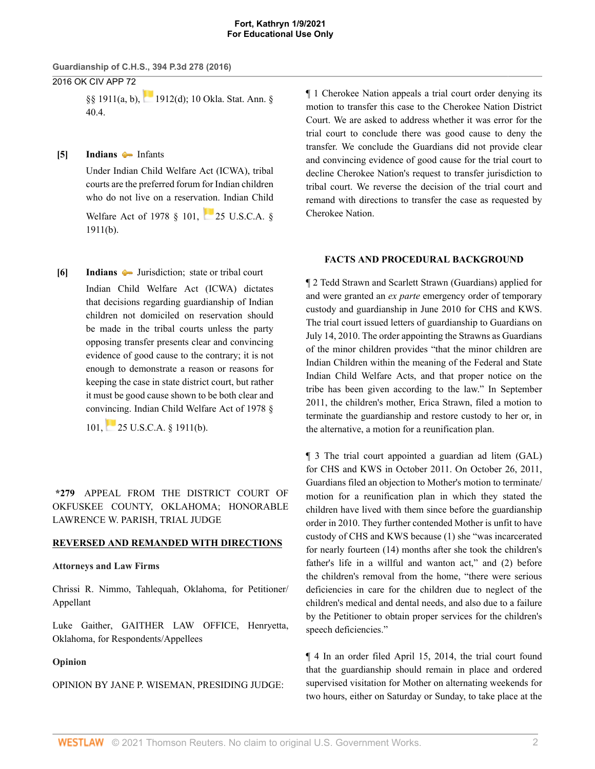**Guardianship of C.H.S., 394 P.3d 278 (2016)**

2016 OK CIV APP 72

[§§ 1911\(a, b\),](http://www.westlaw.com/Link/Document/FullText?findType=L&pubNum=1000546&cite=25USCAS1911&originatingDoc=I287af370b18211e6bdb7b23a3c66d5b3&refType=LQ&originationContext=document&vr=3.0&rs=cblt1.0&transitionType=DocumentItem&contextData=(sc.Search)) [1912\(d\)](http://www.westlaw.com/Link/Document/FullText?findType=L&pubNum=1000546&cite=25USCAS1912&originatingDoc=I287af370b18211e6bdb7b23a3c66d5b3&refType=SP&originationContext=document&vr=3.0&rs=cblt1.0&transitionType=DocumentItem&contextData=(sc.Search)#co_pp_5ba1000067d06); [10 Okla. Stat. Ann. §](http://www.westlaw.com/Link/Document/FullText?findType=L&pubNum=1000165&cite=OKSTT10S40.4&originatingDoc=I287af370b18211e6bdb7b23a3c66d5b3&refType=LQ&originationContext=document&vr=3.0&rs=cblt1.0&transitionType=DocumentItem&contextData=(sc.Search)) [40.4](http://www.westlaw.com/Link/Document/FullText?findType=L&pubNum=1000165&cite=OKSTT10S40.4&originatingDoc=I287af370b18211e6bdb7b23a3c66d5b3&refType=LQ&originationContext=document&vr=3.0&rs=cblt1.0&transitionType=DocumentItem&contextData=(sc.Search)).

<span id="page-1-0"></span>**[\[5\]](#page-3-1) [Indians](http://www.westlaw.com/Browse/Home/KeyNumber/209/View.html?docGuid=I287af370b18211e6bdb7b23a3c66d5b3&originationContext=document&vr=3.0&rs=cblt1.0&transitionType=DocumentItem&contextData=(sc.Search))** [Infants](http://www.westlaw.com/Browse/Home/KeyNumber/209k132/View.html?docGuid=I287af370b18211e6bdb7b23a3c66d5b3&originationContext=document&vr=3.0&rs=cblt1.0&transitionType=DocumentItem&contextData=(sc.Search))

Under Indian Child Welfare Act (ICWA), tribal courts are the preferred forum for Indian children who do not live on a reservation. Indian Child Welfare Act of 1978 § 101, [25 U.S.C.A. §](http://www.westlaw.com/Link/Document/FullText?findType=L&pubNum=1000546&cite=25USCAS1911&originatingDoc=I287af370b18211e6bdb7b23a3c66d5b3&refType=SP&originationContext=document&vr=3.0&rs=cblt1.0&transitionType=DocumentItem&contextData=(sc.Search)#co_pp_a83b000018c76) [1911\(b\).](http://www.westlaw.com/Link/Document/FullText?findType=L&pubNum=1000546&cite=25USCAS1911&originatingDoc=I287af370b18211e6bdb7b23a3c66d5b3&refType=SP&originationContext=document&vr=3.0&rs=cblt1.0&transitionType=DocumentItem&contextData=(sc.Search)#co_pp_a83b000018c76)

<span id="page-1-1"></span>**[\[6\]](#page-6-0) [Indians](http://www.westlaw.com/Browse/Home/KeyNumber/209/View.html?docGuid=I287af370b18211e6bdb7b23a3c66d5b3&originationContext=document&vr=3.0&rs=cblt1.0&transitionType=DocumentItem&contextData=(sc.Search))**  $\blacktriangleright$  Jurisdiction; state or tribal court Indian Child Welfare Act (ICWA) dictates that decisions regarding guardianship of Indian children not domiciled on reservation should be made in the tribal courts unless the party opposing transfer presents clear and convincing evidence of good cause to the contrary; it is not enough to demonstrate a reason or reasons for keeping the case in state district court, but rather it must be good cause shown to be both clear and convincing. Indian Child Welfare Act of 1978 §

101,[25 U.S.C.A. § 1911\(b\).](http://www.westlaw.com/Link/Document/FullText?findType=L&pubNum=1000546&cite=25USCAS1911&originatingDoc=I287af370b18211e6bdb7b23a3c66d5b3&refType=SP&originationContext=document&vr=3.0&rs=cblt1.0&transitionType=DocumentItem&contextData=(sc.Search)#co_pp_a83b000018c76)

**\*279** APPEAL FROM THE DISTRICT COURT OF OKFUSKEE COUNTY, OKLAHOMA; HONORABLE [LAWRENCE W. PARISH](http://www.westlaw.com/Link/Document/FullText?findType=h&pubNum=176284&cite=0134235601&originatingDoc=I287af370b18211e6bdb7b23a3c66d5b3&refType=RQ&originationContext=document&vr=3.0&rs=cblt1.0&transitionType=DocumentItem&contextData=(sc.Search)), TRIAL JUDGE

## **REVERSED AND REMANDED WITH DIRECTIONS**

### **Attorneys and Law Firms**

Chrissi R. Nimmo, Tahlequah, Oklahoma, for Petitioner/ Appellant

[Luke Gaither,](http://www.westlaw.com/Link/Document/FullText?findType=h&pubNum=176284&cite=0407127601&originatingDoc=I287af370b18211e6bdb7b23a3c66d5b3&refType=RQ&originationContext=document&vr=3.0&rs=cblt1.0&transitionType=DocumentItem&contextData=(sc.Search)) GAITHER LAW OFFICE, Henryetta, Oklahoma, for Respondents/Appellees

## **Opinion**

OPINION BY [JANE P. WISEMAN](http://www.westlaw.com/Link/Document/FullText?findType=h&pubNum=176284&cite=0141632901&originatingDoc=I287af370b18211e6bdb7b23a3c66d5b3&refType=RQ&originationContext=document&vr=3.0&rs=cblt1.0&transitionType=DocumentItem&contextData=(sc.Search)), PRESIDING JUDGE:

¶ 1 Cherokee Nation appeals a trial court order denying its motion to transfer this case to the Cherokee Nation District Court. We are asked to address whether it was error for the trial court to conclude there was good cause to deny the transfer. We conclude the Guardians did not provide clear and convincing evidence of good cause for the trial court to decline Cherokee Nation's request to transfer jurisdiction to tribal court. We reverse the decision of the trial court and remand with directions to transfer the case as requested by Cherokee Nation.

## **FACTS AND PROCEDURAL BACKGROUND**

¶ 2 Tedd Strawn and Scarlett Strawn (Guardians) applied for and were granted an *ex parte* emergency order of temporary custody and guardianship in June 2010 for CHS and KWS. The trial court issued letters of guardianship to Guardians on July 14, 2010. The order appointing the Strawns as Guardians of the minor children provides "that the minor children are Indian Children within the meaning of the Federal and State Indian Child Welfare Acts, and that proper notice on the tribe has been given according to the law." In September 2011, the children's mother, Erica Strawn, filed a motion to terminate the guardianship and restore custody to her or, in the alternative, a motion for a reunification plan.

¶ 3 The trial court appointed a guardian ad litem (GAL) for CHS and KWS in October 2011. On October 26, 2011, Guardians filed an objection to Mother's motion to terminate/ motion for a reunification plan in which they stated the children have lived with them since before the guardianship order in 2010. They further contended Mother is unfit to have custody of CHS and KWS because (1) she "was incarcerated for nearly fourteen (14) months after she took the children's father's life in a willful and wanton act," and (2) before the children's removal from the home, "there were serious deficiencies in care for the children due to neglect of the children's medical and dental needs, and also due to a failure by the Petitioner to obtain proper services for the children's speech deficiencies."

¶ 4 In an order filed April 15, 2014, the trial court found that the guardianship should remain in place and ordered supervised visitation for Mother on alternating weekends for two hours, either on Saturday or Sunday, to take place at the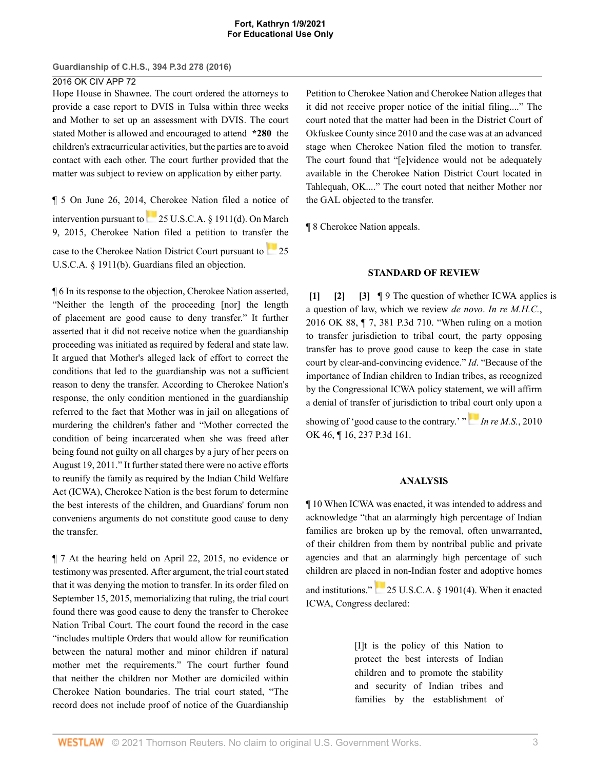## 2016 OK CIV APP 72

Hope House in Shawnee. The court ordered the attorneys to provide a case report to DVIS in Tulsa within three weeks and Mother to set up an assessment with DVIS. The court stated Mother is allowed and encouraged to attend **\*280** the children's extracurricular activities, but the parties are to avoid contact with each other. The court further provided that the matter was subject to review on application by either party.

¶ 5 On June 26, 2014, Cherokee Nation filed a notice of intervention pursuant to[25 U.S.C.A. § 1911\(d\)](http://www.westlaw.com/Link/Document/FullText?findType=L&pubNum=1000546&cite=25USCAS1911&originatingDoc=I287af370b18211e6bdb7b23a3c66d5b3&refType=RB&originationContext=document&vr=3.0&rs=cblt1.0&transitionType=DocumentItem&contextData=(sc.Search)#co_pp_5ba1000067d06). On March 9, 2015, Cherokee Nation filed a petition to transfer the caseto the Cherokee Nation District Court pursuant to [25](http://www.westlaw.com/Link/Document/FullText?findType=L&pubNum=1000546&cite=25USCAS1911&originatingDoc=I287af370b18211e6bdb7b23a3c66d5b3&refType=RB&originationContext=document&vr=3.0&rs=cblt1.0&transitionType=DocumentItem&contextData=(sc.Search)#co_pp_a83b000018c76) [U.S.C.A. § 1911\(b\).](http://www.westlaw.com/Link/Document/FullText?findType=L&pubNum=1000546&cite=25USCAS1911&originatingDoc=I287af370b18211e6bdb7b23a3c66d5b3&refType=RB&originationContext=document&vr=3.0&rs=cblt1.0&transitionType=DocumentItem&contextData=(sc.Search)#co_pp_a83b000018c76) Guardians filed an objection.

¶ 6 In its response to the objection, Cherokee Nation asserted, "Neither the length of the proceeding [nor] the length of placement are good cause to deny transfer." It further asserted that it did not receive notice when the guardianship proceeding was initiated as required by federal and state law. It argued that Mother's alleged lack of effort to correct the conditions that led to the guardianship was not a sufficient reason to deny the transfer. According to Cherokee Nation's response, the only condition mentioned in the guardianship referred to the fact that Mother was in jail on allegations of murdering the children's father and "Mother corrected the condition of being incarcerated when she was freed after being found not guilty on all charges by a jury of her peers on August 19, 2011." It further stated there were no active efforts to reunify the family as required by the Indian Child Welfare Act (ICWA), Cherokee Nation is the best forum to determine the best interests of the children, and Guardians' forum non conveniens arguments do not constitute good cause to deny the transfer.

¶ 7 At the hearing held on April 22, 2015, no evidence or testimony was presented. After argument, the trial court stated that it was denying the motion to transfer. In its order filed on September 15, 2015, memorializing that ruling, the trial court found there was good cause to deny the transfer to Cherokee Nation Tribal Court. The court found the record in the case "includes multiple Orders that would allow for reunification between the natural mother and minor children if natural mother met the requirements." The court further found that neither the children nor Mother are domiciled within Cherokee Nation boundaries. The trial court stated, "The record does not include proof of notice of the Guardianship Petition to Cherokee Nation and Cherokee Nation alleges that it did not receive proper notice of the initial filing...." The court noted that the matter had been in the District Court of Okfuskee County since 2010 and the case was at an advanced stage when Cherokee Nation filed the motion to transfer. The court found that "[e]vidence would not be adequately available in the Cherokee Nation District Court located in Tahlequah, OK...." The court noted that neither Mother nor the GAL objected to the transfer.

¶ 8 Cherokee Nation appeals.

## <span id="page-2-2"></span><span id="page-2-1"></span>**STANDARD OF REVIEW**

<span id="page-2-0"></span>**[\[1\]](#page-0-1) [\[2\]](#page-0-2) [\[3\]](#page-0-3)** ¶ 9 The question of whether ICWA applies is a question of law, which we review *de novo*. *[In re M.H.C.](http://www.westlaw.com/Link/Document/FullText?findType=Y&serNum=2039768119&pubNum=0004645&originatingDoc=I287af370b18211e6bdb7b23a3c66d5b3&refType=RP&originationContext=document&vr=3.0&rs=cblt1.0&transitionType=DocumentItem&contextData=(sc.Search))*, [2016 OK 88, ¶ 7, 381 P.3d 710](http://www.westlaw.com/Link/Document/FullText?findType=Y&serNum=2039768119&pubNum=0004645&originatingDoc=I287af370b18211e6bdb7b23a3c66d5b3&refType=RP&originationContext=document&vr=3.0&rs=cblt1.0&transitionType=DocumentItem&contextData=(sc.Search)). "When ruling on a motion to transfer jurisdiction to tribal court, the party opposing transfer has to prove good cause to keep the case in state court by clear-and-convincing evidence." *[Id](http://www.westlaw.com/Link/Document/FullText?findType=Y&serNum=2039768119&pubNum=0004605&originatingDoc=I287af370b18211e6bdb7b23a3c66d5b3&refType=RP&originationContext=document&vr=3.0&rs=cblt1.0&transitionType=DocumentItem&contextData=(sc.Search))*. "Because of the importance of Indian children to Indian tribes, as recognized by the Congressional ICWA policy statement, we will affirm a denial of transfer of jurisdiction to triba[l co](https://1.next.westlaw.com/Link/RelatedInformation/Flag?documentGuid=Ib90709ba78c911df9513e5d1d488c847&transitionType=InlineKeyCiteFlags&originationContext=docHeaderFlag&Rank=0&contextData=(sc.Search) )urt only upon a showing of 'good cause to the contrary.' " *[In re M.S.](http://www.westlaw.com/Link/Document/FullText?findType=Y&serNum=2022308618&pubNum=0004645&originatingDoc=I287af370b18211e6bdb7b23a3c66d5b3&refType=RP&originationContext=document&vr=3.0&rs=cblt1.0&transitionType=DocumentItem&contextData=(sc.Search))*, 2010 [OK 46, ¶ 16, 237 P.3d 161.](http://www.westlaw.com/Link/Document/FullText?findType=Y&serNum=2022308618&pubNum=0004645&originatingDoc=I287af370b18211e6bdb7b23a3c66d5b3&refType=RP&originationContext=document&vr=3.0&rs=cblt1.0&transitionType=DocumentItem&contextData=(sc.Search))

## **ANALYSIS**

¶ 10 When ICWA was enacted, it was intended to address and acknowledge "that an alarmingly high percentage of Indian families are broken up by the removal, often unwarranted, of their children from them by nontribal public and private agencies and that an alarmingly high percentage of such children are placed in non-Indian foster and adoptive homes

and institutions."[25 U.S.C.A. § 1901\(4\).](http://www.westlaw.com/Link/Document/FullText?findType=L&pubNum=1000546&cite=25USCAS1901&originatingDoc=I287af370b18211e6bdb7b23a3c66d5b3&refType=RB&originationContext=document&vr=3.0&rs=cblt1.0&transitionType=DocumentItem&contextData=(sc.Search)#co_pp_0bd500007a412) When it enacted ICWA, Congress declared:

> [I]t is the policy of this Nation to protect the best interests of Indian children and to promote the stability and security of Indian tribes and families by the establishment of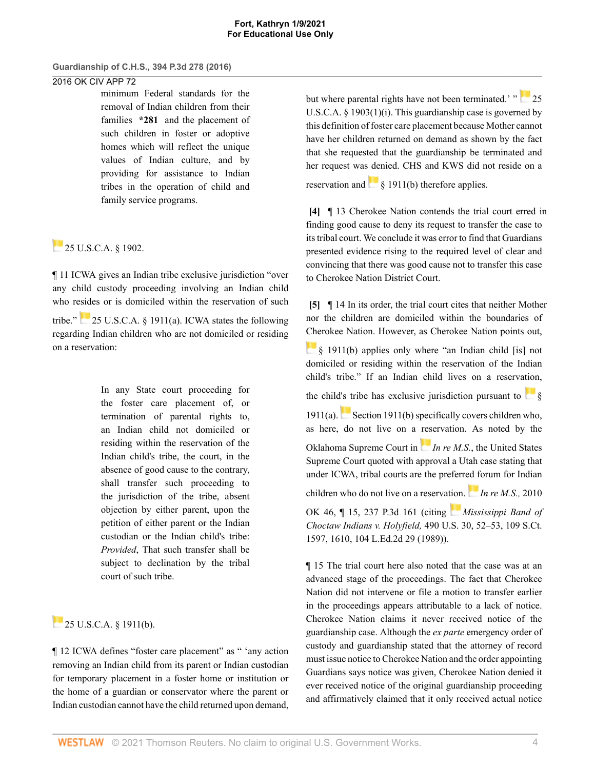# 2016 OK CIV APP 72

minimum Federal standards for the removal of Indian children from their families **\*281** and the placement of such children in foster or adoptive homes which will reflect the unique values of Indian culture, and by providing for assistance to Indian tribes in the operation of child and family service programs.

# $25$  U.S.C.A.  $\&$  1902.

¶ 11 ICWA gives an Indian tribe exclusive jurisdiction "over any child custody proceeding involving an Indian child who resides or is domiciled within the reservation of such

tribe." [25 U.S.C.A. § 1911\(a\)](http://www.westlaw.com/Link/Document/FullText?findType=L&pubNum=1000546&cite=25USCAS1911&originatingDoc=I287af370b18211e6bdb7b23a3c66d5b3&refType=RB&originationContext=document&vr=3.0&rs=cblt1.0&transitionType=DocumentItem&contextData=(sc.Search)#co_pp_8b3b0000958a4). ICWA states the following regarding Indian children who are not domiciled or residing on a reservation:

> In any State court proceeding for the foster care placement of, or termination of parental rights to, an Indian child not domiciled or residing within the reservation of the Indian child's tribe, the court, in the absence of good cause to the contrary, shall transfer such proceeding to the jurisdiction of the tribe, absent objection by either parent, upon the petition of either parent or the Indian custodian or the Indian child's tribe: *Provided*, That such transfer shall be subject to declination by the tribal court of such tribe.

# $25$  U.S.C.A. § 1911(b).

¶ 12 ICWA defines "foster care placement" as " 'any action removing an Indian child from its parent or Indian custodian for temporary placement in a foster home or institution or the home of a guardian or conservator where the parent or Indian custodian cannot have the child returned upon demand, butwhere parental rights have not been terminated.' " [25](http://www.westlaw.com/Link/Document/FullText?findType=L&pubNum=1000546&cite=25USCAS1903&originatingDoc=I287af370b18211e6bdb7b23a3c66d5b3&refType=RB&originationContext=document&vr=3.0&rs=cblt1.0&transitionType=DocumentItem&contextData=(sc.Search)#co_pp_36dc0000f1000) [U.S.C.A. § 1903\(1\)\(i\)](http://www.westlaw.com/Link/Document/FullText?findType=L&pubNum=1000546&cite=25USCAS1903&originatingDoc=I287af370b18211e6bdb7b23a3c66d5b3&refType=RB&originationContext=document&vr=3.0&rs=cblt1.0&transitionType=DocumentItem&contextData=(sc.Search)#co_pp_36dc0000f1000). This guardianship case is governed by this definition of foster care placement because Mother cannot have her children returned on demand as shown by the fact that she requested that the guardianship be terminated and her request was denied. CHS and KWS did not reside on a reservation and  $\frac{1}{8}$  1911(b) therefore applies.

<span id="page-3-0"></span>**[\[4\]](#page-0-0)** ¶ 13 Cherokee Nation contends the trial court erred in finding good cause to deny its request to transfer the case to its tribal court. We conclude it was error to find that Guardians presented evidence rising to the required level of clear and convincing that there was good cause not to transfer this case to Cherokee Nation District Court.

<span id="page-3-1"></span>**[\[5\]](#page-1-0)** ¶ 14 In its order, the trial court cites that neither Mother nor the children are domiciled within the boundaries of [Che](https://1.next.westlaw.com/Link/RelatedInformation/Flag?documentGuid=NB212B900A53911D88BD68431AAB79FF6&transitionType=InlineKeyCiteFlags&originationContext=docHeaderFlag&Rank=0&contextData=(sc.Search) )rokee Nation. However, as Cherokee Nation points out, [§ 1911\(b\)](http://www.westlaw.com/Link/Document/FullText?findType=L&pubNum=1000546&cite=25USCAS1911&originatingDoc=I287af370b18211e6bdb7b23a3c66d5b3&refType=RB&originationContext=document&vr=3.0&rs=cblt1.0&transitionType=DocumentItem&contextData=(sc.Search)#co_pp_a83b000018c76) applies only where "an Indian child [is] not domiciled or residing within the reservation of the Indian child's tribe." If an Indian child lives on a reservation, the child's tribe has exclusive jurisdiction pursuant to  $\frac{1}{8}$ [1911\(a\).](http://www.westlaw.com/Link/Document/FullText?findType=L&pubNum=1000546&cite=25USCAS1911&originatingDoc=I287af370b18211e6bdb7b23a3c66d5b3&refType=RB&originationContext=document&vr=3.0&rs=cblt1.0&transitionType=DocumentItem&contextData=(sc.Search)#co_pp_8b3b0000958a4)[Section 1911\(b\)](http://www.westlaw.com/Link/Document/FullText?findType=L&pubNum=1000546&cite=25USCAS1911&originatingDoc=I287af370b18211e6bdb7b23a3c66d5b3&refType=RB&originationContext=document&vr=3.0&rs=cblt1.0&transitionType=DocumentItem&contextData=(sc.Search)#co_pp_a83b000018c76) specifically covers children who, as here, do not live on a [res](https://1.next.westlaw.com/Link/RelatedInformation/Flag?documentGuid=Ib90709ba78c911df9513e5d1d488c847&transitionType=InlineKeyCiteFlags&originationContext=docHeaderFlag&Rank=0&contextData=(sc.Search) )ervation. As noted by the Oklahoma Supreme Court in *[In re M.S.](http://www.westlaw.com/Link/Document/FullText?findType=Y&serNum=2022308618&originatingDoc=I287af370b18211e6bdb7b23a3c66d5b3&refType=RP&originationContext=document&vr=3.0&rs=cblt1.0&transitionType=DocumentItem&contextData=(sc.Search))*, the United States Supreme Court quoted with approval a Utah case stating that under ICWA, tribal courts are the preferr[ed f](https://1.next.westlaw.com/Link/RelatedInformation/Flag?documentGuid=Ib90709ba78c911df9513e5d1d488c847&transitionType=InlineKeyCiteFlags&originationContext=docHeaderFlag&Rank=0&contextData=(sc.Search) )orum for Indian children who do not live on a reserva[tion](https://1.next.westlaw.com/Link/RelatedInformation/Flag?documentGuid=I31940ed49c2511d9bdd1cfdd544ca3a4&transitionType=InlineKeyCiteFlags&originationContext=docHeaderFlag&Rank=0&contextData=(sc.Search) ). *[In re M.S.,](http://www.westlaw.com/Link/Document/FullText?findType=Y&serNum=2022308618&pubNum=0004645&originatingDoc=I287af370b18211e6bdb7b23a3c66d5b3&refType=RP&originationContext=document&vr=3.0&rs=cblt1.0&transitionType=DocumentItem&contextData=(sc.Search))* 2010 [OK 46, ¶ 15, 237 P.3d 161](http://www.westlaw.com/Link/Document/FullText?findType=Y&serNum=2022308618&pubNum=0004645&originatingDoc=I287af370b18211e6bdb7b23a3c66d5b3&refType=RP&originationContext=document&vr=3.0&rs=cblt1.0&transitionType=DocumentItem&contextData=(sc.Search)) (citing *[Mississippi Band of](http://www.westlaw.com/Link/Document/FullText?findType=Y&serNum=1989048372&pubNum=0000708&originatingDoc=I287af370b18211e6bdb7b23a3c66d5b3&refType=RP&fi=co_pp_sp_708_1610&originationContext=document&vr=3.0&rs=cblt1.0&transitionType=DocumentItem&contextData=(sc.Search)#co_pp_sp_708_1610) Choctaw Indians v. Holyfield,* [490 U.S. 30, 52–53, 109 S.Ct.](http://www.westlaw.com/Link/Document/FullText?findType=Y&serNum=1989048372&pubNum=0000708&originatingDoc=I287af370b18211e6bdb7b23a3c66d5b3&refType=RP&fi=co_pp_sp_708_1610&originationContext=document&vr=3.0&rs=cblt1.0&transitionType=DocumentItem&contextData=(sc.Search)#co_pp_sp_708_1610) [1597, 1610, 104 L.Ed.2d 29 \(1989\)](http://www.westlaw.com/Link/Document/FullText?findType=Y&serNum=1989048372&pubNum=0000708&originatingDoc=I287af370b18211e6bdb7b23a3c66d5b3&refType=RP&fi=co_pp_sp_708_1610&originationContext=document&vr=3.0&rs=cblt1.0&transitionType=DocumentItem&contextData=(sc.Search)#co_pp_sp_708_1610)).

¶ 15 The trial court here also noted that the case was at an advanced stage of the proceedings. The fact that Cherokee Nation did not intervene or file a motion to transfer earlier in the proceedings appears attributable to a lack of notice. Cherokee Nation claims it never received notice of the guardianship case. Although the *ex parte* emergency order of custody and guardianship stated that the attorney of record must issue notice to Cherokee Nation and the order appointing Guardians says notice was given, Cherokee Nation denied it ever received notice of the original guardianship proceeding and affirmatively claimed that it only received actual notice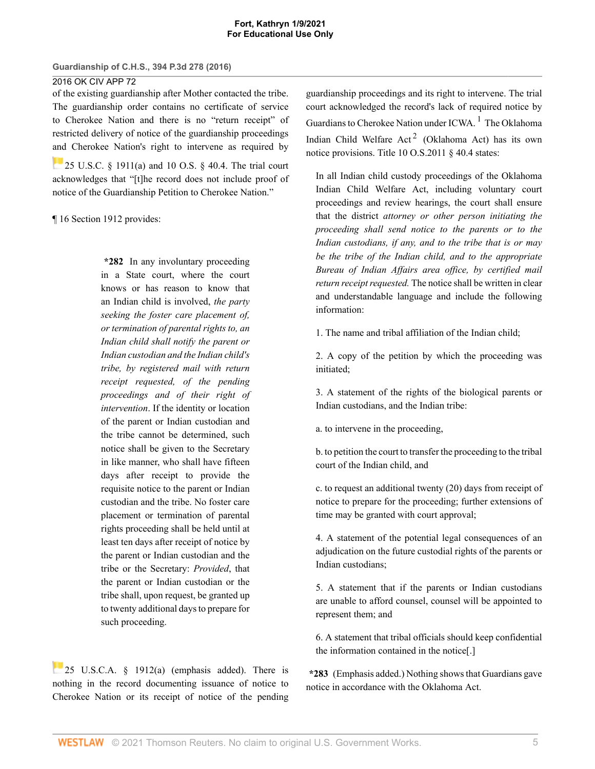2016 OK CIV APP 72

of the existing guardianship after Mother contacted the tribe. The guardianship order contains no certificate of service to Cherokee Nation and there is no "return receipt" of restricted delivery of notice of the guardianship proceedings [and](https://1.next.westlaw.com/Link/RelatedInformation/Flag?documentGuid=NB212B900A53911D88BD68431AAB79FF6&transitionType=InlineKeyCiteFlags&originationContext=docHeaderFlag&Rank=0&contextData=(sc.Search) ) Cherokee Nation's right to intervene as required by **25 U.S.C.** § 1911(a) and [10 O.S. § 40.4.](http://www.westlaw.com/Link/Document/FullText?findType=L&pubNum=1000165&cite=OKSTT10S40.4&originatingDoc=I287af370b18211e6bdb7b23a3c66d5b3&refType=LQ&originationContext=document&vr=3.0&rs=cblt1.0&transitionType=DocumentItem&contextData=(sc.Search)) The trial court acknowledges that "[t]he record does not include proof of notice of the Guardianship Petition to Cherokee Nation."

¶ 16 Section 1912 provides:

**\*282** In any involuntary proceeding in a State court, where the court knows or has reason to know that an Indian child is involved, *the party seeking the foster care placement of, or termination of parental rights to, an Indian child shall notify the parent or Indian custodian and the Indian child's tribe, by registered mail with return receipt requested, of the pending proceedings and of their right of intervention*. If the identity or location of the parent or Indian custodian and the tribe cannot be determined, such notice shall be given to the Secretary in like manner, who shall have fifteen days after receipt to provide the requisite notice to the parent or Indian custodian and the tribe. No foster care placement or termination of parental rights proceeding shall be held until at least ten days after receipt of notice by the parent or Indian custodian and the tribe or the Secretary: *Provided*, that the parent or Indian custodian or the tribe shall, upon request, be granted up to twenty additional days to prepare for such proceeding.

[25 U.S.C.A. § 1912\(a\)](http://www.westlaw.com/Link/Document/FullText?findType=L&pubNum=1000546&cite=25USCAS1912&originatingDoc=I287af370b18211e6bdb7b23a3c66d5b3&refType=RB&originationContext=document&vr=3.0&rs=cblt1.0&transitionType=DocumentItem&contextData=(sc.Search)#co_pp_8b3b0000958a4) (emphasis added). There is nothing in the record documenting issuance of notice to Cherokee Nation or its receipt of notice of the pending guardianship proceedings and its right to intervene. The trial court acknowledged the record's lack of required notice by Guardians to Cherokee Nation under ICWA.<sup>[1](#page-6-1)</sup> The Oklahoma Indian Child Welfare  $Act^2$  $Act^2$  (Oklahoma Act) has its own notice provisions. [Title 10 O.S.2011 § 40.4](http://www.westlaw.com/Link/Document/FullText?findType=L&pubNum=1000165&cite=OKSTT10S40.4&originatingDoc=I287af370b18211e6bdb7b23a3c66d5b3&refType=LQ&originationContext=document&vr=3.0&rs=cblt1.0&transitionType=DocumentItem&contextData=(sc.Search)) states:

<span id="page-4-1"></span><span id="page-4-0"></span>In all Indian child custody proceedings of the Oklahoma Indian Child Welfare Act, including voluntary court proceedings and review hearings, the court shall ensure that the district *attorney or other person initiating the proceeding shall send notice to the parents or to the Indian custodians, if any, and to the tribe that is or may be the tribe of the Indian child, and to the appropriate Bureau of Indian Affairs area office, by certified mail return receipt requested.* The notice shall be written in clear and understandable language and include the following information:

1. The name and tribal affiliation of the Indian child;

2. A copy of the petition by which the proceeding was initiated;

3. A statement of the rights of the biological parents or Indian custodians, and the Indian tribe:

a. to intervene in the proceeding,

b. to petition the court to transfer the proceeding to the tribal court of the Indian child, and

c. to request an additional twenty (20) days from receipt of notice to prepare for the proceeding; further extensions of time may be granted with court approval;

4. A statement of the potential legal consequences of an adjudication on the future custodial rights of the parents or Indian custodians;

5. A statement that if the parents or Indian custodians are unable to afford counsel, counsel will be appointed to represent them; and

6. A statement that tribal officials should keep confidential the information contained in the notice[.]

**\*283** (Emphasis added.) Nothing shows that Guardians gave notice in accordance with the Oklahoma Act.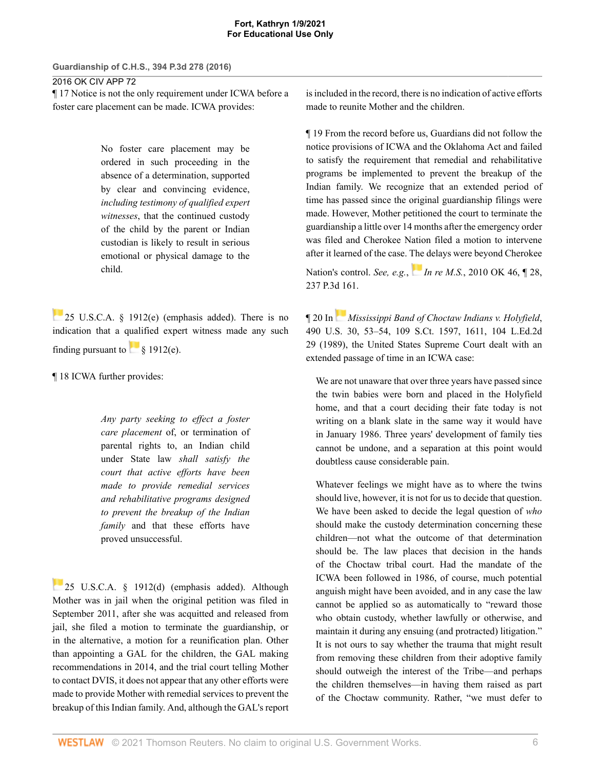2016 OK CIV APP 72

¶ 17 Notice is not the only requirement under ICWA before a foster care placement can be made. ICWA provides:

> No foster care placement may be ordered in such proceeding in the absence of a determination, supported by clear and convincing evidence, *including testimony of qualified expert witnesses*, that the continued custody of the child by the parent or Indian custodian is likely to result in serious emotional or physical damage to the child.

25 U.S.C.A.  $\S$  1912(e) (emphasis added). There is no indication that a qualified expert witness made any such finding pursuant to  $\frac{1}{8}$  1912(e).

¶ 18 ICWA further provides:

*Any party seeking to effect a foster care placement* of, or termination of parental rights to, an Indian child under State law *shall satisfy the court that active efforts have been made to provide remedial services and rehabilitative programs designed to prevent the breakup of the Indian family* and that these efforts have proved unsuccessful.

[25 U.S.C.A. § 1912\(d\)](http://www.westlaw.com/Link/Document/FullText?findType=L&pubNum=1000546&cite=25USCAS1912&originatingDoc=I287af370b18211e6bdb7b23a3c66d5b3&refType=RB&originationContext=document&vr=3.0&rs=cblt1.0&transitionType=DocumentItem&contextData=(sc.Search)#co_pp_5ba1000067d06) (emphasis added). Although Mother was in jail when the original petition was filed in September 2011, after she was acquitted and released from jail, she filed a motion to terminate the guardianship, or in the alternative, a motion for a reunification plan. Other than appointing a GAL for the children, the GAL making recommendations in 2014, and the trial court telling Mother to contact DVIS, it does not appear that any other efforts were made to provide Mother with remedial services to prevent the breakup of this Indian family. And, although the GAL's report is included in the record, there is no indication of active efforts made to reunite Mother and the children.

¶ 19 From the record before us, Guardians did not follow the notice provisions of ICWA and the Oklahoma Act and failed to satisfy the requirement that remedial and rehabilitative programs be implemented to prevent the breakup of the Indian family. We recognize that an extended period of time has passed since the original guardianship filings were made. However, Mother petitioned the court to terminate the guardianship a little over 14 months after the emergency order was filed and Cherokee Nation filed a motion to intervene after it learned of the case. [The](https://1.next.westlaw.com/Link/RelatedInformation/Flag?documentGuid=Ib90709ba78c911df9513e5d1d488c847&transitionType=InlineKeyCiteFlags&originationContext=docHeaderFlag&Rank=0&contextData=(sc.Search) ) delays were beyond Cherokee

Nation's control. *See, e.g.*, *In re M.S.*[, 2010 OK 46, ¶ 28,](http://www.westlaw.com/Link/Document/FullText?findType=Y&serNum=2022308618&pubNum=0004645&originatingDoc=I287af370b18211e6bdb7b23a3c66d5b3&refType=RP&originationContext=document&vr=3.0&rs=cblt1.0&transitionType=DocumentItem&contextData=(sc.Search)) [237 P.3d 161.](http://www.westlaw.com/Link/Document/FullText?findType=Y&serNum=2022308618&pubNum=0004645&originatingDoc=I287af370b18211e6bdb7b23a3c66d5b3&refType=RP&originationContext=document&vr=3.0&rs=cblt1.0&transitionType=DocumentItem&contextData=(sc.Search))

¶ 20 In*[Mississippi Band of Choctaw Indians v. Holyfield](http://www.westlaw.com/Link/Document/FullText?findType=Y&serNum=1989048372&pubNum=0000708&originatingDoc=I287af370b18211e6bdb7b23a3c66d5b3&refType=RP&fi=co_pp_sp_708_1611&originationContext=document&vr=3.0&rs=cblt1.0&transitionType=DocumentItem&contextData=(sc.Search)#co_pp_sp_708_1611)*, [490 U.S. 30, 53–54, 109 S.Ct. 1597, 1611, 104 L.Ed.2d](http://www.westlaw.com/Link/Document/FullText?findType=Y&serNum=1989048372&pubNum=0000708&originatingDoc=I287af370b18211e6bdb7b23a3c66d5b3&refType=RP&fi=co_pp_sp_708_1611&originationContext=document&vr=3.0&rs=cblt1.0&transitionType=DocumentItem&contextData=(sc.Search)#co_pp_sp_708_1611) [29 \(1989\),](http://www.westlaw.com/Link/Document/FullText?findType=Y&serNum=1989048372&pubNum=0000708&originatingDoc=I287af370b18211e6bdb7b23a3c66d5b3&refType=RP&fi=co_pp_sp_708_1611&originationContext=document&vr=3.0&rs=cblt1.0&transitionType=DocumentItem&contextData=(sc.Search)#co_pp_sp_708_1611) the United States Supreme Court dealt with an extended passage of time in an ICWA case:

We are not unaware that over three years have passed since the twin babies were born and placed in the Holyfield home, and that a court deciding their fate today is not writing on a blank slate in the same way it would have in January 1986. Three years' development of family ties cannot be undone, and a separation at this point would doubtless cause considerable pain.

Whatever feelings we might have as to where the twins should live, however, it is not for us to decide that question. We have been asked to decide the legal question of *who* should make the custody determination concerning these children—not what the outcome of that determination should be. The law places that decision in the hands of the Choctaw tribal court. Had the mandate of the ICWA been followed in 1986, of course, much potential anguish might have been avoided, and in any case the law cannot be applied so as automatically to "reward those who obtain custody, whether lawfully or otherwise, and maintain it during any ensuing (and protracted) litigation." It is not ours to say whether the trauma that might result from removing these children from their adoptive family should outweigh the interest of the Tribe—and perhaps the children themselves—in having them raised as part of the Choctaw community. Rather, "we must defer to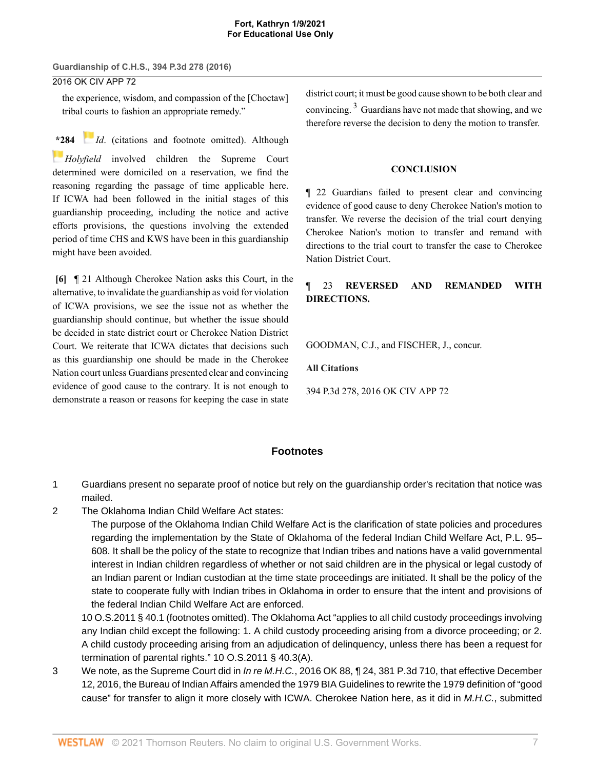2016 OK CIV APP 72

the experience, wisdom, and compassion of the [Choctaw] tribal courts to fashion an appropriate remedy."

**[\\*2](https://1.next.westlaw.com/Link/RelatedInformation/Flag?documentGuid=I31940ed49c2511d9bdd1cfdd544ca3a4&transitionType=InlineKeyCiteFlags&originationContext=docHeaderFlag&Rank=0&contextData=(sc.Search) )84** *[Id](http://www.westlaw.com/Link/Document/FullText?findType=Y&serNum=1989048372&pubNum=0000780&originatingDoc=I287af370b18211e6bdb7b23a3c66d5b3&refType=RP&originationContext=document&vr=3.0&rs=cblt1.0&transitionType=DocumentItem&contextData=(sc.Search))*. (citations and footnote omitted). Although *[Holyfield](http://www.westlaw.com/Link/Document/FullText?findType=Y&serNum=1989048372&pubNum=0000708&originatingDoc=I287af370b18211e6bdb7b23a3c66d5b3&refType=RP&originationContext=document&vr=3.0&rs=cblt1.0&transitionType=DocumentItem&contextData=(sc.Search))* involved children the Supreme Court determined were domiciled on a reservation, we find the reasoning regarding the passage of time applicable here. If ICWA had been followed in the initial stages of this guardianship proceeding, including the notice and active efforts provisions, the questions involving the extended period of time CHS and KWS have been in this guardianship might have been avoided.

<span id="page-6-0"></span>**[\[6\]](#page-1-1)** ¶ 21 Although Cherokee Nation asks this Court, in the alternative, to invalidate the guardianship as void for violation of ICWA provisions, we see the issue not as whether the guardianship should continue, but whether the issue should be decided in state district court or Cherokee Nation District Court. We reiterate that ICWA dictates that decisions such as this guardianship one should be made in the Cherokee Nation court unless Guardians presented clear and convincing evidence of good cause to the contrary. It is not enough to demonstrate a reason or reasons for keeping the case in state

<span id="page-6-4"></span>district court; it must be good cause shown to be both clear and convincing.<sup>[3](#page-6-3)</sup> Guardians have not made that showing, and we therefore reverse the decision to deny the motion to transfer.

#### **CONCLUSION**

¶ 22 Guardians failed to present clear and convincing evidence of good cause to deny Cherokee Nation's motion to transfer. We reverse the decision of the trial court denying Cherokee Nation's motion to transfer and remand with directions to the trial court to transfer the case to Cherokee Nation District Court.

## ¶ 23 **REVERSED AND REMANDED WITH DIRECTIONS.**

[GOODMAN](http://www.westlaw.com/Link/Document/FullText?findType=h&pubNum=176284&cite=0222515601&originatingDoc=I287af370b18211e6bdb7b23a3c66d5b3&refType=RQ&originationContext=document&vr=3.0&rs=cblt1.0&transitionType=DocumentItem&contextData=(sc.Search)), C.J., and [FISCHER,](http://www.westlaw.com/Link/Document/FullText?findType=h&pubNum=176284&cite=0146999501&originatingDoc=I287af370b18211e6bdb7b23a3c66d5b3&refType=RQ&originationContext=document&vr=3.0&rs=cblt1.0&transitionType=DocumentItem&contextData=(sc.Search)) J., concur.

**All Citations**

394 P.3d 278, 2016 OK CIV APP 72

## **Footnotes**

- <span id="page-6-1"></span>[1](#page-4-0) Guardians present no separate proof of notice but rely on the guardianship order's recitation that notice was mailed.
- <span id="page-6-2"></span>[2](#page-4-1) The Oklahoma Indian Child Welfare Act states:

The purpose of the Oklahoma Indian Child Welfare Act is the clarification of state policies and procedures regarding the implementation by the State of Oklahoma of the federal Indian Child Welfare Act, [P.L. 95–](http://www.westlaw.com/Link/Document/FullText?findType=l&pubNum=1077005&cite=UUID(I9819B45CC5-864920B0079-24EB3F5CDE9)&originatingDoc=I287af370b18211e6bdb7b23a3c66d5b3&refType=SL&originationContext=document&vr=3.0&rs=cblt1.0&transitionType=DocumentItem&contextData=(sc.Search)) [608.](http://www.westlaw.com/Link/Document/FullText?findType=l&pubNum=1077005&cite=UUID(I9819B45CC5-864920B0079-24EB3F5CDE9)&originatingDoc=I287af370b18211e6bdb7b23a3c66d5b3&refType=SL&originationContext=document&vr=3.0&rs=cblt1.0&transitionType=DocumentItem&contextData=(sc.Search)) It shall be the policy of the state to recognize that Indian tribes and nations have a valid governmental interest in Indian children regardless of whether or not said children are in the physical or legal custody of an Indian parent or Indian custodian at the time state proceedings are initiated. It shall be the policy of the state to cooperate fully with Indian tribes in Oklahoma in order to ensure that the intent and provisions of the federal Indian Child Welfare Act are enforced.

[10 O.S.2011 § 40.1](http://www.westlaw.com/Link/Document/FullText?findType=L&pubNum=1000165&cite=OKSTT10S40.1&originatingDoc=I287af370b18211e6bdb7b23a3c66d5b3&refType=LQ&originationContext=document&vr=3.0&rs=cblt1.0&transitionType=DocumentItem&contextData=(sc.Search)) (footnotes omitted). The Oklahoma Act "applies to all child custody proceedings involving any Indian child except the following: 1. A child custody proceeding arising from a divorce proceeding; or 2. A child custody proceeding arising from an adjudication of delinquency, unless there has been a request for termination of parental rights." [10 O.S.2011 § 40.3\(A\).](http://www.westlaw.com/Link/Document/FullText?findType=L&pubNum=1000165&cite=OKSTT10S40.3&originatingDoc=I287af370b18211e6bdb7b23a3c66d5b3&refType=LQ&originationContext=document&vr=3.0&rs=cblt1.0&transitionType=DocumentItem&contextData=(sc.Search))

<span id="page-6-3"></span>[3](#page-6-4) We note, as the Supreme Court did in In re M.H.C., 2016 OK 88, 124, 381 P.3d 710, that effective December 12, 2016, the Bureau of Indian Affairs amended the 1979 BIA Guidelines to rewrite the 1979 definition of "good cause" for transfer to align it more closely with ICWA. Cherokee Nation here, as it did in [M.H.C.](http://www.westlaw.com/Link/Document/FullText?findType=Y&serNum=2039768119&pubNum=0004605&originatingDoc=I287af370b18211e6bdb7b23a3c66d5b3&refType=RP&originationContext=document&vr=3.0&rs=cblt1.0&transitionType=DocumentItem&contextData=(sc.Search)), submitted